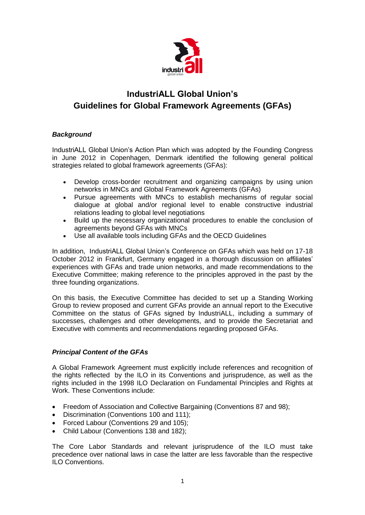

## **IndustriALL Global Union's Guidelines for Global Framework Agreements (GFAs)**

## *Background*

IndustriALL Global Union's Action Plan which was adopted by the Founding Congress in June 2012 in Copenhagen, Denmark identified the following general political strategies related to global framework agreements (GFAs):

- Develop cross-border recruitment and organizing campaigns by using union networks in MNCs and Global Framework Agreements (GFAs)
- Pursue agreements with MNCs to establish mechanisms of regular social dialogue at global and/or regional level to enable constructive industrial relations leading to global level negotiations
- Build up the necessary organizational procedures to enable the conclusion of agreements beyond GFAs with MNCs
- Use all available tools including GFAs and the OECD Guidelines

In addition, IndustriALL Global Union's Conference on GFAs which was held on 17-18 October 2012 in Frankfurt, Germany engaged in a thorough discussion on affiliates' experiences with GFAs and trade union networks, and made recommendations to the Executive Committee; making reference to the principles approved in the past by the three founding organizations.

On this basis, the Executive Committee has decided to set up a Standing Working Group to review proposed and current GFAs provide an annual report to the Executive Committee on the status of GFAs signed by IndustriALL, including a summary of successes, challenges and other developments, and to provide the Secretariat and Executive with comments and recommendations regarding proposed GFAs.

## *Principal Content of the GFAs*

A Global Framework Agreement must explicitly include references and recognition of the rights reflected by the ILO in its Conventions and jurisprudence, as well as the rights included in the 1998 ILO Declaration on Fundamental Principles and Rights at Work. These Conventions include:

- Freedom of Association and Collective Bargaining (Conventions 87 and 98);
- Discrimination (Conventions 100 and 111);
- Forced Labour (Conventions 29 and 105);
- Child Labour (Conventions 138 and 182);

The Core Labor Standards and relevant jurisprudence of the ILO must take precedence over national laws in case the latter are less favorable than the respective ILO Conventions.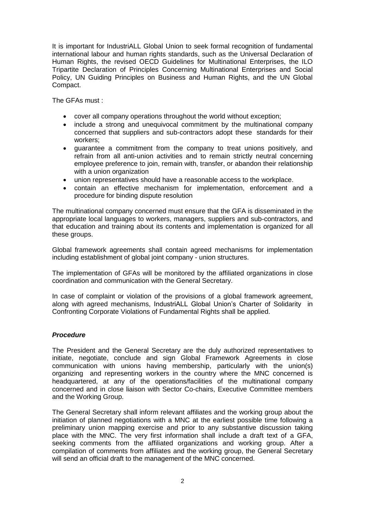It is important for IndustriALL Global Union to seek formal recognition of fundamental international labour and human rights standards, such as the Universal Declaration of Human Rights, the revised OECD Guidelines for Multinational Enterprises, the ILO Tripartite Declaration of Principles Concerning Multinational Enterprises and Social Policy, UN Guiding Principles on Business and Human Rights, and the UN Global Compact.

The GFAs must :

- cover all company operations throughout the world without exception;
- include a strong and unequivocal commitment by the multinational company concerned that suppliers and sub-contractors adopt these standards for their workers;
- guarantee a commitment from the company to treat unions positively, and refrain from all anti-union activities and to remain strictly neutral concerning employee preference to join, remain with, transfer, or abandon their relationship with a union organization
- union representatives should have a reasonable access to the workplace.
- contain an effective mechanism for implementation, enforcement and a procedure for binding dispute resolution

The multinational company concerned must ensure that the GFA is disseminated in the appropriate local languages to workers, managers, suppliers and sub-contractors, and that education and training about its contents and implementation is organized for all these groups.

Global framework agreements shall contain agreed mechanisms for implementation including establishment of global joint company - union structures.

The implementation of GFAs will be monitored by the affiliated organizations in close coordination and communication with the General Secretary.

In case of complaint or violation of the provisions of a global framework agreement, along with agreed mechanisms, IndustriALL Global Union's Charter of Solidarity in Confronting Corporate Violations of Fundamental Rights shall be applied.

## *Procedure*

The President and the General Secretary are the duly authorized representatives to initiate, negotiate, conclude and sign Global Framework Agreements in close communication with unions having membership, particularly with the union(s) organizing and representing workers in the country where the MNC concerned is headquartered, at any of the operations/facilities of the multinational company concerned and in close liaison with Sector Co-chairs, Executive Committee members and the Working Group.

The General Secretary shall inform relevant affiliates and the working group about the initiation of planned negotiations with a MNC at the earliest possible time following a preliminary union mapping exercise and prior to any substantive discussion taking place with the MNC. The very first information shall include a draft text of a GFA, seeking comments from the affiliated organizations and working group. After a compilation of comments from affiliates and the working group, the General Secretary will send an official draft to the management of the MNC concerned.